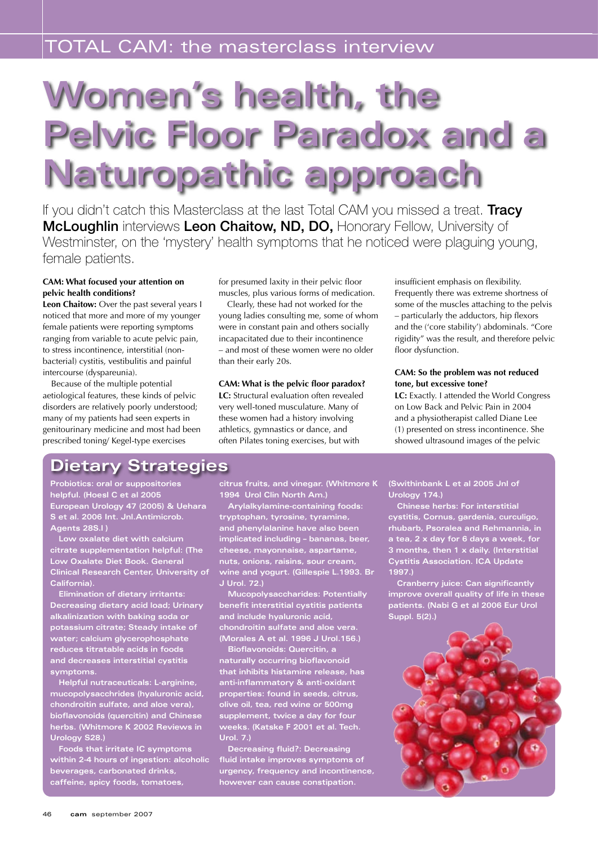# **Women's health, the Pelvic Floor Paradox and a Naturopathic approach**

If you didn't catch this Masterclass at the last Total CAM you missed a treat. Tracy McLoughlin interviews Leon Chaitow, ND, DO, Honorary Fellow, University of Westminster, on the 'mystery' health symptoms that he noticed were plaguing young, female patients.

## **CAM: What focused your attention on pelvic health conditions?**

**Leon Chaitow:** Over the past several years I noticed that more and more of my younger female patients were reporting symptoms ranging from variable to acute pelvic pain, to stress incontinence, interstitial (nonbacterial) cystitis, vestibulitis and painful intercourse (dyspareunia).

Because of the multiple potential aetiological features, these kinds of pelvic disorders are relatively poorly understood; many of my patients had seen experts in genitourinary medicine and most had been prescribed toning/ Kegel-type exercises

for presumed laxity in their pelvic floor muscles, plus various forms of medication.

Clearly, these had not worked for the young ladies consulting me, some of whom were in constant pain and others socially incapacitated due to their incontinence – and most of these women were no older than their early 20s.

## **CAM: What is the pelvic floor paradox?**

**LC:** Structural evaluation often revealed very well-toned musculature. Many of these women had a history involving athletics, gymnastics or dance, and often Pilates toning exercises, but with

insufficient emphasis on flexibility. Frequently there was extreme shortness of some of the muscles attaching to the pelvis – particularly the adductors, hip flexors and the ('core stability') abdominals. "Core rigidity" was the result, and therefore pelvic floor dysfunction.

#### **CAM: So the problem was not reduced tone, but excessive tone?**

**LC:** Exactly. I attended the World Congress on Low Back and Pelvic Pain in 2004 and a physiotherapist called Diane Lee (1) presented on stress incontinence. She showed ultrasound images of the pelvic

# **Dietary Strategies**

**Probiotics: oral or suppositories helpful. (Hoesl C et al 2005 European Urology 47 (2005) & Uehara S et al. 2006 Int. Jnl.Antimicrob. Agents 28S.l )**

**Low oxalate diet with calcium citrate supplementation helpful: (The Low Oxalate Diet Book. General Clinical Research Center, University of California).**

**Elimination of dietary irritants: Decreasing dietary acid load; Urinary alkalinization with baking soda or potassium citrate; Steady intake of water; calcium glycerophosphate reduces titratable acids in foods and decreases interstitial cystitis symptoms.**

**Helpful nutraceuticals: L-arginine, mucopolysacchrides (hyaluronic acid, chondroitin sulfate, and aloe vera), bioflavonoids (quercitin) and Chinese herbs. (Whitmore K 2002 Reviews in Urology S28.)**

**Foods that irritate IC symptoms within 2-4 hours of ingestion: alcoholic beverages, carbonated drinks, caffeine, spicy foods, tomatoes,** 

**citrus fruits, and vinegar. (Whitmore K 1994 Urol Clin North Am.)**

**Arylalkylamine-containing foods: tryptophan, tyrosine, tyramine, and phenylalanine have also been implicated including – bananas, beer, cheese, mayonnaise, aspartame, nuts, onions, raisins, sour cream, wine and yogurt. (Gillespie L.1993. Br J Urol. 72.)**

**Mucopolysaccharides: Potentially benefit interstitial cystitis patients and include hyaluronic acid, chondroitin sulfate and aloe vera. (Morales A et al. 1996 J Urol.156.)**

**Bioflavonoids: Quercitin, a naturally occurring bioflavonoid that inhibits histamine release, has anti-inflammatory & anti-oxidant properties: found in seeds, citrus, olive oil, tea, red wine or 500mg supplement, twice a day for four weeks. (Katske F 2001 et al. Tech. Urol. 7.)** 

**Decreasing fluid?: Decreasing fluid intake improves symptoms of urgency, frequency and incontinence, however can cause constipation.** 

**(Swithinbank L et al 2005 Jnl of Urology 174.)**

**Chinese herbs: For interstitial cystitis, Cornus, gardenia, curculigo, rhubarb, Psoralea and Rehmannia, in a tea, 2 x day for 6 days a week, for 3 months, then 1 x daily. (Interstitial Cystitis Association. ICA Update 1997.)**

**Cranberry juice: Can significantly improve overall quality of life in these patients. (Nabi G et al 2006 Eur Urol Suppl. 5(2).)**

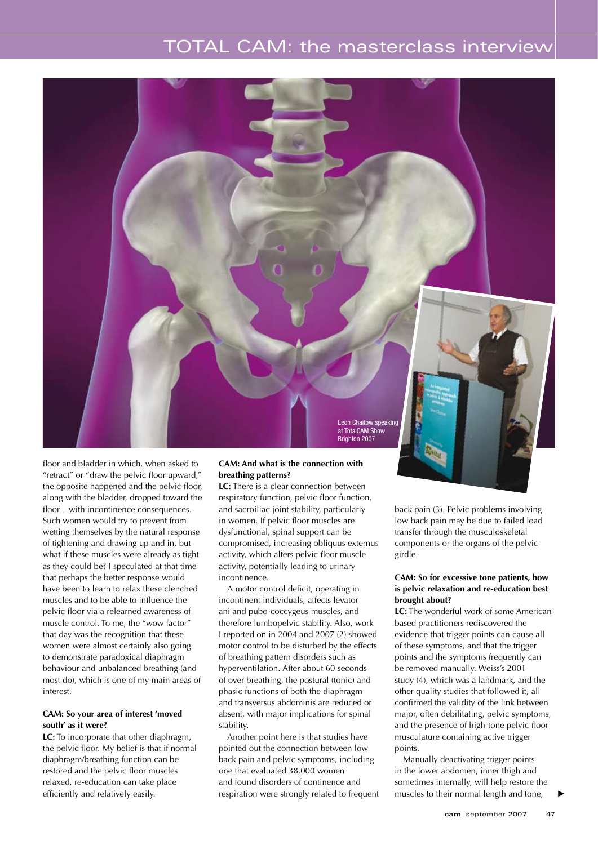# TOTAL CAM: the masterclass interview



floor and bladder in which, when asked to "retract" or "draw the pelvic floor upward," the opposite happened and the pelvic floor, along with the bladder, dropped toward the floor – with incontinence consequences. Such women would try to prevent from wetting themselves by the natural response of tightening and drawing up and in, but what if these muscles were already as tight as they could be? I speculated at that time that perhaps the better response would have been to learn to relax these clenched muscles and to be able to influence the pelvic floor via a relearned awareness of muscle control. To me, the "wow factor" that day was the recognition that these women were almost certainly also going to demonstrate paradoxical diaphragm behaviour and unbalanced breathing (and most do), which is one of my main areas of interest.

#### **CAM: So your area of interest 'moved south' as it were?**

**LC:** To incorporate that other diaphragm, the pelvic floor. My belief is that if normal diaphragm/breathing function can be restored and the pelvic floor muscles relaxed, re-education can take place efficiently and relatively easily.

#### **CAM: And what is the connection with breathing patterns?**

**LC:** There is a clear connection between respiratory function, pelvic floor function, and sacroiliac joint stability, particularly in women. If pelvic floor muscles are dysfunctional, spinal support can be compromised, increasing obliquus externus activity, which alters pelvic floor muscle activity, potentially leading to urinary incontinence.

A motor control deficit, operating in incontinent individuals, affects levator ani and pubo-coccygeus muscles, and therefore lumbopelvic stability. Also, work I reported on in 2004 and 2007 (2) showed motor control to be disturbed by the effects of breathing pattern disorders such as hyperventilation. After about 60 seconds of over-breathing, the postural (tonic) and phasic functions of both the diaphragm and transversus abdominis are reduced or absent, with major implications for spinal stability.

Another point here is that studies have pointed out the connection between low back pain and pelvic symptoms, including one that evaluated 38,000 women and found disorders of continence and respiration were strongly related to frequent back pain (3). Pelvic problems involving low back pain may be due to failed load transfer through the musculoskeletal components or the organs of the pelvic girdle.

#### **CAM: So for excessive tone patients, how is pelvic relaxation and re-education best brought about?**

**LC:** The wonderful work of some Americanbased practitioners rediscovered the evidence that trigger points can cause all of these symptoms, and that the trigger points and the symptoms frequently can be removed manually. Weiss's 2001 study (4), which was a landmark, and the other quality studies that followed it, all confirmed the validity of the link between major, often debilitating, pelvic symptoms, and the presence of high-tone pelvic floor musculature containing active trigger points.

Manually deactivating trigger points in the lower abdomen, inner thigh and sometimes internally, will help restore the muscles to their normal length and tone,

t